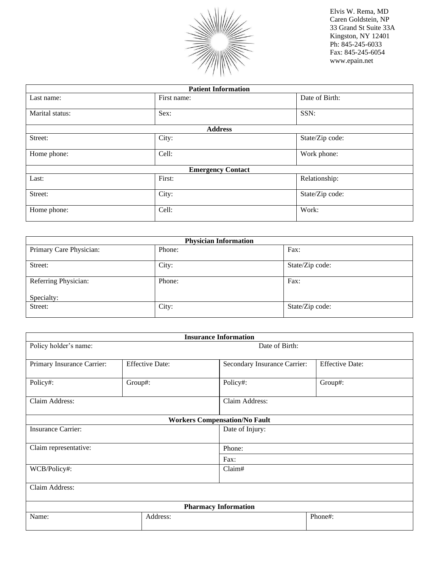

| <b>Patient Information</b> |                |                 |  |  |  |
|----------------------------|----------------|-----------------|--|--|--|
| Last name:                 | First name:    | Date of Birth:  |  |  |  |
| Marital status:            | Sex:           | SSN:            |  |  |  |
|                            | <b>Address</b> |                 |  |  |  |
| Street:                    | City:          | State/Zip code: |  |  |  |
| Home phone:                | Cell:          | Work phone:     |  |  |  |
| <b>Emergency Contact</b>   |                |                 |  |  |  |
| Last:                      | First:         | Relationship:   |  |  |  |
| Street:                    | City:          | State/Zip code: |  |  |  |
| Home phone:                | Cell:          | Work:           |  |  |  |

| <b>Physician Information</b> |        |                 |  |  |
|------------------------------|--------|-----------------|--|--|
| Primary Care Physician:      | Phone: | Fax:            |  |  |
|                              |        |                 |  |  |
| Street:                      | City:  | State/Zip code: |  |  |
|                              |        |                 |  |  |
| Referring Physician:         | Phone: | Fax:            |  |  |
|                              |        |                 |  |  |
| Specialty:                   |        |                 |  |  |
| Street:                      | City:  | State/Zip code: |  |  |
|                              |        |                 |  |  |

| <b>Insurance Information</b> |                        |                                      |                        |  |  |  |
|------------------------------|------------------------|--------------------------------------|------------------------|--|--|--|
| Policy holder's name:        | Date of Birth:         |                                      |                        |  |  |  |
| Primary Insurance Carrier:   | <b>Effective Date:</b> | Secondary Insurance Carrier:         | <b>Effective Date:</b> |  |  |  |
| Policy#:                     | Group#:                | Policy#:                             | Group#:                |  |  |  |
| Claim Address:               |                        | Claim Address:                       |                        |  |  |  |
|                              |                        | <b>Workers Compensation/No Fault</b> |                        |  |  |  |
| <b>Insurance Carrier:</b>    |                        | Date of Injury:                      |                        |  |  |  |
| Claim representative:        |                        | Phone:                               |                        |  |  |  |
|                              |                        | Fax:                                 |                        |  |  |  |
| Claim#<br>WCB/Policy#:       |                        |                                      |                        |  |  |  |
| Claim Address:               |                        |                                      |                        |  |  |  |
| <b>Pharmacy Information</b>  |                        |                                      |                        |  |  |  |
| Name:                        | Address:               |                                      | Phone#:                |  |  |  |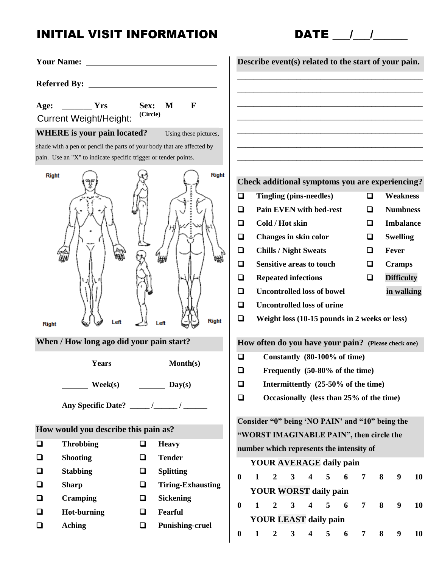# INITIAL VISIT INFORMATION DATE  $\frac{1}{2}$

| <b>Your Name:</b> |                                                                                                                                           |                  |                                       |                          |             |              |                  |                 |                                 |                                   |                                                                                      |                |   | Describe event(s) related to the start of your pain. |           |
|-------------------|-------------------------------------------------------------------------------------------------------------------------------------------|------------------|---------------------------------------|--------------------------|-------------|--------------|------------------|-----------------|---------------------------------|-----------------------------------|--------------------------------------------------------------------------------------|----------------|---|------------------------------------------------------|-----------|
|                   |                                                                                                                                           |                  |                                       |                          |             |              |                  |                 |                                 |                                   |                                                                                      |                |   |                                                      |           |
|                   | Age: __________ Yrs<br><b>Current Weight/Height:</b>                                                                                      | Sex:<br>(Circle) | M                                     | $\mathbf{F}$             |             |              |                  |                 |                                 |                                   |                                                                                      |                |   |                                                      |           |
|                   | <b>WHERE</b> is your pain located?                                                                                                        |                  |                                       | Using these pictures,    |             |              |                  |                 |                                 |                                   |                                                                                      |                |   |                                                      |           |
|                   | shade with a pen or pencil the parts of your body that are affected by<br>pain. Use an "X" to indicate specific trigger or tender points. |                  |                                       |                          |             |              |                  |                 |                                 |                                   |                                                                                      |                |   |                                                      |           |
| <b>Right</b>      |                                                                                                                                           |                  |                                       | <b>Right</b>             |             |              |                  |                 |                                 |                                   |                                                                                      |                |   | Check additional symptoms you are experiencing?      |           |
|                   |                                                                                                                                           |                  |                                       |                          | ❏           |              |                  |                 | Tingling (pins-needles)         |                                   |                                                                                      | □              |   | <b>Weakness</b>                                      |           |
|                   |                                                                                                                                           |                  |                                       |                          | $\Box$      |              |                  |                 |                                 | <b>Pain EVEN with bed-rest</b>    |                                                                                      | ❏              |   | <b>Numbness</b>                                      |           |
|                   |                                                                                                                                           |                  |                                       |                          | ◘           |              |                  | Cold / Hot skin |                                 |                                   |                                                                                      | ◘              |   | <b>Imbalance</b>                                     |           |
|                   |                                                                                                                                           |                  |                                       |                          | $\Box$      |              |                  |                 | Changes in skin color           |                                   |                                                                                      | ❏              |   | <b>Swelling</b>                                      |           |
|                   |                                                                                                                                           |                  | ₩                                     |                          | $\Box$      |              |                  |                 | <b>Chills / Night Sweats</b>    |                                   |                                                                                      | □              |   | Fever                                                |           |
|                   |                                                                                                                                           |                  |                                       |                          | $\Box$      |              |                  |                 | <b>Sensitive areas to touch</b> |                                   |                                                                                      | □              |   | <b>Cramps</b>                                        |           |
|                   |                                                                                                                                           |                  |                                       |                          | $\Box$      |              |                  |                 | <b>Repeated infections</b>      |                                   |                                                                                      | $\Box$         |   | <b>Difficulty</b>                                    |           |
|                   |                                                                                                                                           |                  |                                       |                          | $\Box$      |              |                  |                 |                                 | <b>Uncontrolled loss of bowel</b> |                                                                                      |                |   | in walking                                           |           |
|                   |                                                                                                                                           |                  |                                       |                          | $\Box$      |              |                  |                 |                                 | <b>Uncontrolled loss of urine</b> |                                                                                      |                |   |                                                      |           |
| <b>Right</b>      | Left                                                                                                                                      |                  | Leit                                  | <b>Right</b>             | $\Box$      |              |                  |                 |                                 |                                   | Weight loss (10-15 pounds in 2 weeks or less)                                        |                |   |                                                      |           |
|                   | When / How long ago did your pain start?                                                                                                  |                  |                                       |                          |             |              |                  |                 |                                 |                                   |                                                                                      |                |   | How often do you have your pain? (Please check one)  |           |
|                   | Years                                                                                                                                     |                  | Month(s)                              |                          | $\Box$<br>❏ |              |                  |                 |                                 |                                   | Constantly (80-100% of time)                                                         |                |   |                                                      |           |
|                   | $\mathbf{Week}(\mathbf{s})$                                                                                                               |                  | $\frac{\text{Day}(s)}{\text{Day}(s)}$ |                          | $\Box$      |              |                  |                 |                                 |                                   | Frequently (50-80% of the time)<br>Intermittently (25-50% of the time)               |                |   |                                                      |           |
|                   |                                                                                                                                           |                  |                                       |                          | $\Box$      |              |                  |                 |                                 |                                   | Occasionally (less than 25% of the time)                                             |                |   |                                                      |           |
|                   |                                                                                                                                           |                  |                                       |                          |             |              |                  |                 |                                 |                                   |                                                                                      |                |   |                                                      |           |
|                   | How would you describe this pain as?                                                                                                      |                  |                                       |                          |             |              |                  |                 |                                 |                                   | Consider "0" being 'NO PAIN' and "10" being the                                      |                |   |                                                      |           |
| $\Box$            | <b>Throbbing</b>                                                                                                                          | $\Box$           | <b>Heavy</b>                          |                          |             |              |                  |                 |                                 |                                   | "WORST IMAGINABLE PAIN", then circle the<br>number which represents the intensity of |                |   |                                                      |           |
| $\Box$            | <b>Shooting</b>                                                                                                                           | $\Box$           | <b>Tender</b>                         |                          |             |              |                  |                 |                                 |                                   | <b>YOUR AVERAGE daily pain</b>                                                       |                |   |                                                      |           |
| $\Box$            | <b>Stabbing</b>                                                                                                                           | $\Box$           | <b>Splitting</b>                      |                          | $\bf{0}$    | 1            | $\overline{2}$   | $\mathbf{3}$    | $\overline{\mathbf{4}}$         |                                   |                                                                                      | 7              | 8 | $\boldsymbol{9}$                                     | <b>10</b> |
| $\Box$            | <b>Sharp</b>                                                                                                                              | □                |                                       | <b>Tiring-Exhausting</b> |             |              |                  |                 |                                 | 5<br><b>YOUR WORST daily pain</b> | 6                                                                                    |                |   |                                                      |           |
| $\Box$            | <b>Cramping</b>                                                                                                                           | $\Box$           | <b>Sickening</b>                      |                          | $\bf{0}$    | $\mathbf{1}$ | $\boldsymbol{2}$ | $\mathbf{3}$    | $\overline{\mathbf{4}}$         | 5                                 | 6                                                                                    | $\overline{7}$ | 8 | 9 <sup>°</sup>                                       | 10        |
| $\Box$            | <b>Hot-burning</b>                                                                                                                        | $\Box$           | Fearful                               |                          |             |              |                  |                 |                                 |                                   |                                                                                      |                |   |                                                      |           |
| $\Box$            | <b>Aching</b>                                                                                                                             | ❏                | <b>Punishing-cruel</b>                |                          |             |              |                  |                 |                                 | <b>YOUR LEAST daily pain</b>      |                                                                                      |                |   |                                                      |           |
|                   |                                                                                                                                           |                  |                                       |                          | $\bf{0}$    | $\mathbf{1}$ | $\boldsymbol{2}$ | $\mathbf{3}$    | 4                               | 5                                 | 6                                                                                    | 7              | 8 | 9                                                    | <b>10</b> |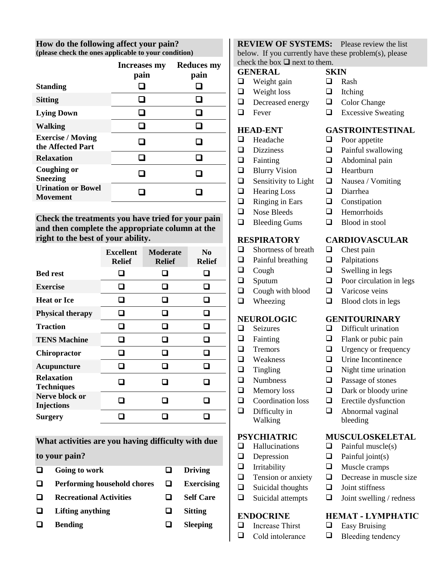**How do the following affect your pain? (please check the ones applicable to your condition)**

|                                               | <b>Increases my</b> | <b>Reduces my</b> |
|-----------------------------------------------|---------------------|-------------------|
|                                               | pain                | pain              |
| <b>Standing</b>                               |                     |                   |
| <b>Sitting</b>                                |                     |                   |
| <b>Lying Down</b>                             |                     |                   |
| <b>Walking</b>                                |                     |                   |
| <b>Exercise / Moving</b><br>the Affected Part |                     |                   |
| <b>Relaxation</b>                             |                     |                   |
| Coughing or<br><b>Sneezing</b>                |                     |                   |
| <b>Urination or Bowel</b><br>Movement         |                     |                   |
|                                               |                     |                   |

**Check the treatments you have tried for your pain and then complete the appropriate column at the right to the best of your ability.**

|                                        | <b>Excellent</b><br><b>Relief</b> | <b>Moderate</b><br><b>Relief</b> | N <sub>0</sub><br><b>Relief</b> |
|----------------------------------------|-----------------------------------|----------------------------------|---------------------------------|
| <b>Bed rest</b>                        | $\overline{\phantom{a}}$          |                                  |                                 |
| <b>Exercise</b>                        |                                   |                                  |                                 |
| <b>Heat or Ice</b>                     | $\sim$                            |                                  |                                 |
| <b>Physical therapy</b>                | U                                 | H                                | - 1                             |
| <b>Traction</b>                        | - 1                               |                                  |                                 |
| <b>TENS Machine</b>                    | П                                 | n                                | П                               |
| <b>Chiropractor</b>                    |                                   |                                  |                                 |
| Acupuncture                            |                                   |                                  |                                 |
| <b>Relaxation</b><br><b>Techniques</b> | ×.                                |                                  |                                 |
| Nerve block or<br><b>Injections</b>    |                                   |                                  |                                 |
| <b>Surgery</b>                         |                                   |                                  |                                 |

**What activities are you having difficulty with due** 

#### **to your pain?**

- **Going to work Driving**
- **Performing household chores Exercising**
- $\Box$  Recreational Activities  $\Box$  Self Care
- **Lifting anything Sitting**
- **Bending Sleeping**

**REVIEW OF SYSTEMS:** Please review the list below. If you currently have these problem(s), please check the box  $\Box$  next to them.

#### **GENERAL SKIN**

- $\Box$  Weight gain  $\Box$  Rash
- $\Box$  Weight loss  $\Box$  Itching
- $\Box$  Decreased energy  $\Box$  Color Change
- 

- 
- 
- 
- 
- 
- $\Box$  Hearing Loss  $\Box$  Diarrhea
- $\Box$  Ringing in Ears  $\Box$  Constipation
- $\Box$  Nose Bleeds  $\Box$  Hemorrhoids
- $\Box$  Bleeding Gums  $\Box$  Blood in stool

- $\Box$  Shortness of breath  $\Box$  Chest pain
- $\Box$  Painful breathing  $\Box$  Palpitations
- 
- 
- $\Box$  Cough with blood  $\Box$  Varicose veins
	-

- 
- 
- 
- 
- 
- 
- 
- $\Box$  Difficulty in
- Walking

- 
- 
- 
- 
- $\Box$  Suicidal thoughts  $\Box$  Joint stiffness
- 

- $\Box$  Increase Thirst  $\Box$  Easy Bruising
- 
- -
	-
	-
- $\Box$  Fever  $\Box$  Excessive Sweating

### **HEAD-ENT GASTROINTESTINAL**

- $\Box$  Headache  $\Box$  Poor appetite
- $\Box$  Dizziness  $\Box$  Painful swallowing
- $\Box$  Fainting  $\Box$  Abdominal pain
- $\Box$  Blurry Vision  $\Box$  Heartburn
- $\Box$  Sensitivity to Light  $\Box$  Nausea / Vomiting
	-
	-
	-
	-

### **RESPIRATORY CARDIOVASCULAR**

- 
- 
- $\Box$  Cough  $\Box$  Swelling in legs
- $\Box$  Sputum  $\Box$  Poor circulation in legs
	-
- $\Box$  Wheezing  $\Box$  Blood clots in legs

### **NEUROLOGIC GENITOURINARY**

- $\Box$  Seizures  $\Box$  Difficult urination
- $\Box$  Fainting  $\Box$  Flank or pubic pain
- $\Box$  Tremors  $\Box$  Urgency or frequency
- $\Box$  Weakness  $\Box$  Urine Incontinence
- $\Box$  Tingling  $\Box$  Night time urination
- $\Box$  Numbness  $\Box$  Passage of stones
- $\Box$  Memory loss  $\Box$  Dark or bloody urine
- $\Box$  Coordination loss  $\Box$  Erectile dysfunction
	- **a** Abnormal vaginal bleeding

### **PSYCHIATRIC MUSCULOSKELETAL**

- $\Box$  Hallucinations  $\Box$  Painful muscle(s)
- $\Box$  Depression  $\Box$  Painful joint(s)
- $\Box$  Irritability  $\Box$  Muscle cramps
- $\Box$  Tension or anxiety  $\Box$  Decrease in muscle size
	-
- $\Box$  Suicidal attempts  $\Box$  Joint swelling / redness

### **ENDOCRINE HEMAT - LYMPHATIC**

- 
- $\Box$  Cold intolerance  $\Box$  Bleeding tendency
- -
	-
	-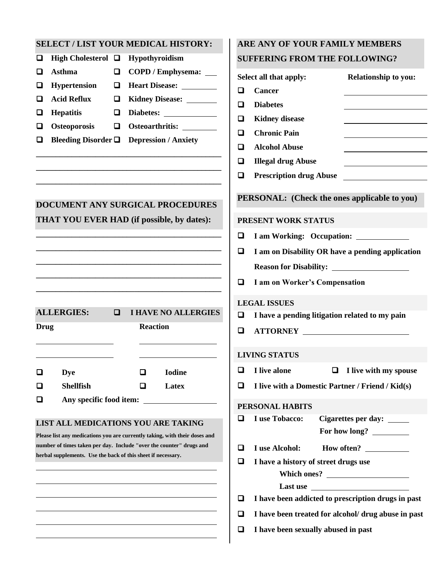#### **SELECT / LIST YOUR MEDICAL HISTORY:**

| $\Box$ COPD / Emphysema: $\Box$                                 |
|-----------------------------------------------------------------|
| $\Box$ Heart Disease:                                           |
| $\Box$ Kidney Disease:                                          |
|                                                                 |
|                                                                 |
| <b>Bleeding Disorder <math>\Box</math></b> Depression / Anxiety |
|                                                                 |

 $\overline{\phantom{a}}$ 

## **DOCUMENT ANY SURGICAL PROCEDURES THAT YOU EVER HAD (if possible, by dates):**

**\_\_\_\_\_\_\_\_\_\_\_\_\_\_\_\_\_\_\_\_\_\_\_\_\_\_\_\_\_\_\_\_\_\_\_\_\_\_\_\_\_\_\_\_\_\_\_ \_\_\_\_\_\_\_\_\_\_\_\_\_\_\_\_\_\_\_\_\_\_\_\_\_\_\_\_\_\_\_\_\_\_\_\_\_\_\_\_\_\_\_\_\_\_\_ \_\_\_\_\_\_\_\_\_\_\_\_\_\_\_\_\_\_\_\_\_\_\_\_\_\_\_\_\_\_\_\_\_\_\_\_\_\_\_\_\_\_\_\_\_\_\_ \_\_\_\_\_\_\_\_\_\_\_\_\_\_\_\_\_\_\_\_\_\_\_\_\_\_\_\_\_\_\_\_\_\_\_\_\_\_\_\_\_\_\_\_\_\_\_ \_\_\_\_\_\_\_\_\_\_\_\_\_\_\_\_\_\_\_\_\_\_\_\_\_\_\_\_\_\_\_\_\_\_\_\_\_\_\_\_\_\_\_\_\_\_\_** 

**\_\_\_\_\_\_\_\_\_\_\_\_\_\_\_\_\_\_\_\_\_\_\_\_\_\_\_\_\_\_\_\_\_\_\_\_\_\_\_\_\_\_\_\_\_\_\_ \_\_\_\_\_\_\_\_\_\_\_\_\_\_\_\_\_\_\_\_\_\_\_\_\_\_\_\_\_\_\_\_\_\_\_\_\_\_\_\_\_\_\_\_\_\_\_ \_\_\_\_\_\_\_\_\_\_\_\_\_\_\_\_\_\_\_\_\_\_\_\_\_\_\_\_\_\_\_\_\_\_\_\_\_\_\_\_\_\_\_\_\_\_\_**

|      | <b>ALLERGIES:</b>       | □ |                 | <b>I HAVE NO ALLERGIES</b> |  |
|------|-------------------------|---|-----------------|----------------------------|--|
| Drug |                         |   | <b>Reaction</b> |                            |  |
|      |                         |   |                 |                            |  |
|      | Dye                     |   | l 1             | <b>Iodine</b>              |  |
|      | <b>Shellfish</b>        |   |                 | Latex                      |  |
|      | Any specific food item: |   |                 |                            |  |

#### **LIST ALL MEDICATIONS YOU ARE TAKING**

**Please list any medications you are currently taking, with their doses and number of times taken per day. Include "over the counter" drugs and herbal supplements. Use the back of this sheet if necessary.**

### **ARE ANY OF YOUR FAMILY MEMBERS SUFFERING FROM THE FOLLOWING?**

|        | Select all that apply:<br><b>Relationship to you:</b>                     |  |
|--------|---------------------------------------------------------------------------|--|
| ◻      | Cancer                                                                    |  |
| □      | <b>Diabetes</b>                                                           |  |
| ◻      | <b>Kidney disease</b>                                                     |  |
| □      | <b>Chronic Pain</b>                                                       |  |
| ◻      | <b>Alcohol Abuse</b>                                                      |  |
| $\Box$ | <b>Illegal drug Abuse</b>                                                 |  |
| ◘      | <b>Prescription drug Abuse</b><br><u> 1989 - Johann Barbara, martxa a</u> |  |
|        | PERSONAL: (Check the ones applicable to you)                              |  |
|        | PRESENT WORK STATUS                                                       |  |
| ◘      | I am Working: Occupation:                                                 |  |
| О      | I am on Disability OR have a pending application                          |  |
|        | <b>Reason for Disability:</b>                                             |  |
| ◻      | I am on Worker's Compensation                                             |  |
|        | <b>LEGAL ISSUES</b>                                                       |  |
| ◻      | I have a pending litigation related to my pain                            |  |
| ◘      | <b>ATTORNEY</b>                                                           |  |
|        | <b>LIVING STATUS</b>                                                      |  |
| □      | I live with my spouse<br>I live alone<br>$\Box$                           |  |
| □      | I live with a Domestic Partner / Friend / Kid(s)                          |  |
|        | <b>PERSONAL HABITS</b>                                                    |  |
| O      | I use Tobacco:<br>Cigarettes per day:                                     |  |
|        |                                                                           |  |
| □      | How often?<br>I use Alcohol:                                              |  |
| П      | I have a history of street drugs use                                      |  |
|        |                                                                           |  |
|        |                                                                           |  |
| ◘      | I have been addicted to prescription drugs in past                        |  |
| □      | I have been treated for alcohol/ drug abuse in past                       |  |
| ❏      | I have been sexually abused in past                                       |  |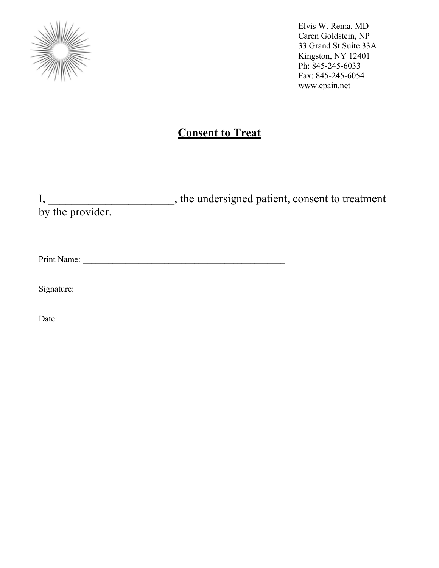

## **Consent to Treat**

|                  | , the undersigned patient, consent to treatment |
|------------------|-------------------------------------------------|
| by the provider. |                                                 |
|                  |                                                 |
|                  |                                                 |
|                  |                                                 |

Print Name: **\_\_\_\_\_\_\_\_\_\_\_\_\_\_\_\_\_\_\_\_\_\_\_\_\_\_\_\_\_\_\_\_\_\_\_\_\_\_\_\_\_\_\_\_\_\_\_** 

Signature: \_\_\_\_\_\_\_\_\_\_\_\_\_\_\_\_\_\_\_\_\_\_\_\_\_\_\_\_\_\_\_\_\_\_\_\_\_\_\_\_\_\_\_\_\_\_\_\_\_

Date: \_\_\_\_\_\_\_\_\_\_\_\_\_\_\_\_\_\_\_\_\_\_\_\_\_\_\_\_\_\_\_\_\_\_\_\_\_\_\_\_\_\_\_\_\_\_\_\_\_\_\_\_\_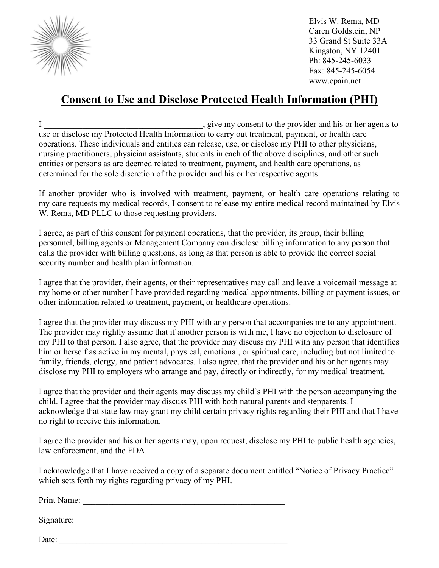

## **Consent to Use and Disclose Protected Health Information (PHI)**

I \_\_\_\_\_\_\_\_\_\_\_\_\_\_\_\_\_\_\_\_\_\_\_\_\_\_\_\_\_\_\_\_\_\_\_\_\_, give my consent to the provider and his or her agents to use or disclose my Protected Health Information to carry out treatment, payment, or health care operations. These individuals and entities can release, use, or disclose my PHI to other physicians, nursing practitioners, physician assistants, students in each of the above disciplines, and other such entities or persons as are deemed related to treatment, payment, and health care operations, as determined for the sole discretion of the provider and his or her respective agents.

If another provider who is involved with treatment, payment, or health care operations relating to my care requests my medical records, I consent to release my entire medical record maintained by Elvis W. Rema, MD PLLC to those requesting providers.

I agree, as part of this consent for payment operations, that the provider, its group, their billing personnel, billing agents or Management Company can disclose billing information to any person that calls the provider with billing questions, as long as that person is able to provide the correct social security number and health plan information.

I agree that the provider, their agents, or their representatives may call and leave a voicemail message at my home or other number I have provided regarding medical appointments, billing or payment issues, or other information related to treatment, payment, or healthcare operations.

I agree that the provider may discuss my PHI with any person that accompanies me to any appointment. The provider may rightly assume that if another person is with me, I have no objection to disclosure of my PHI to that person. I also agree, that the provider may discuss my PHI with any person that identifies him or herself as active in my mental, physical, emotional, or spiritual care, including but not limited to family, friends, clergy, and patient advocates. I also agree, that the provider and his or her agents may disclose my PHI to employers who arrange and pay, directly or indirectly, for my medical treatment.

I agree that the provider and their agents may discuss my child's PHI with the person accompanying the child. I agree that the provider may discuss PHI with both natural parents and stepparents. I acknowledge that state law may grant my child certain privacy rights regarding their PHI and that I have no right to receive this information.

I agree the provider and his or her agents may, upon request, disclose my PHI to public health agencies, law enforcement, and the FDA.

I acknowledge that I have received a copy of a separate document entitled "Notice of Privacy Practice" which sets forth my rights regarding privacy of my PHI.

Print Name: **\_\_\_\_\_\_\_\_\_\_\_\_\_\_\_\_\_\_\_\_\_\_\_\_\_\_\_\_\_\_\_\_\_\_\_\_\_\_\_\_\_\_\_\_\_\_\_** 

Signature: \_\_\_\_\_\_\_\_\_\_\_\_\_\_\_\_\_\_\_\_\_\_\_\_\_\_\_\_\_\_\_\_\_\_\_\_\_\_\_\_\_\_\_\_\_\_\_\_\_

Date: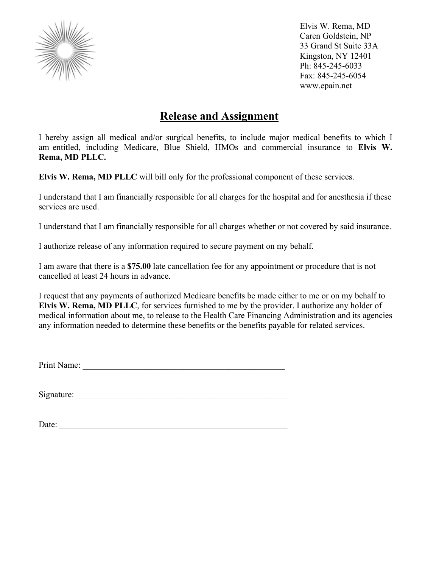

## **Release and Assignment**

I hereby assign all medical and/or surgical benefits, to include major medical benefits to which I am entitled, including Medicare, Blue Shield, HMOs and commercial insurance to **Elvis W. Rema, MD PLLC.** 

**Elvis W. Rema, MD PLLC** will bill only for the professional component of these services.

I understand that I am financially responsible for all charges for the hospital and for anesthesia if these services are used.

I understand that I am financially responsible for all charges whether or not covered by said insurance.

I authorize release of any information required to secure payment on my behalf.

I am aware that there is a **\$75.00** late cancellation fee for any appointment or procedure that is not cancelled at least 24 hours in advance.

I request that any payments of authorized Medicare benefits be made either to me or on my behalf to **Elvis W. Rema, MD PLLC**, for services furnished to me by the provider. I authorize any holder of medical information about me, to release to the Health Care Financing Administration and its agencies any information needed to determine these benefits or the benefits payable for related services.

Print Name: **\_\_\_\_\_\_\_\_\_\_\_\_\_\_\_\_\_\_\_\_\_\_\_\_\_\_\_\_\_\_\_\_\_\_\_\_\_\_\_\_\_\_\_\_\_\_\_** 

Signature: \_\_\_\_\_\_\_\_\_\_\_\_\_\_\_\_\_\_\_\_\_\_\_\_\_\_\_\_\_\_\_\_\_\_\_\_\_\_\_\_\_\_\_\_\_\_\_\_\_

Date: \_\_\_\_\_\_\_\_\_\_\_\_\_\_\_\_\_\_\_\_\_\_\_\_\_\_\_\_\_\_\_\_\_\_\_\_\_\_\_\_\_\_\_\_\_\_\_\_\_\_\_\_\_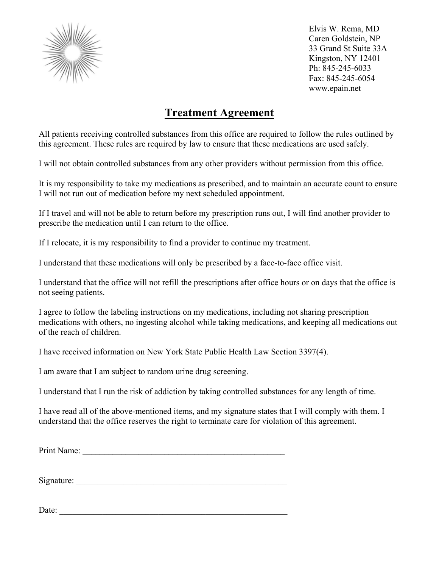

## **Treatment Agreement**

All patients receiving controlled substances from this office are required to follow the rules outlined by this agreement. These rules are required by law to ensure that these medications are used safely.

I will not obtain controlled substances from any other providers without permission from this office.

It is my responsibility to take my medications as prescribed, and to maintain an accurate count to ensure I will not run out of medication before my next scheduled appointment.

If I travel and will not be able to return before my prescription runs out, I will find another provider to prescribe the medication until I can return to the office.

If I relocate, it is my responsibility to find a provider to continue my treatment.

I understand that these medications will only be prescribed by a face-to-face office visit.

I understand that the office will not refill the prescriptions after office hours or on days that the office is not seeing patients.

I agree to follow the labeling instructions on my medications, including not sharing prescription medications with others, no ingesting alcohol while taking medications, and keeping all medications out of the reach of children.

I have received information on New York State Public Health Law Section 3397(4).

I am aware that I am subject to random urine drug screening.

I understand that I run the risk of addiction by taking controlled substances for any length of time.

I have read all of the above-mentioned items, and my signature states that I will comply with them. I understand that the office reserves the right to terminate care for violation of this agreement.

Print Name:

Signature:

Date: \_\_\_\_\_\_\_\_\_\_\_\_\_\_\_\_\_\_\_\_\_\_\_\_\_\_\_\_\_\_\_\_\_\_\_\_\_\_\_\_\_\_\_\_\_\_\_\_\_\_\_\_\_